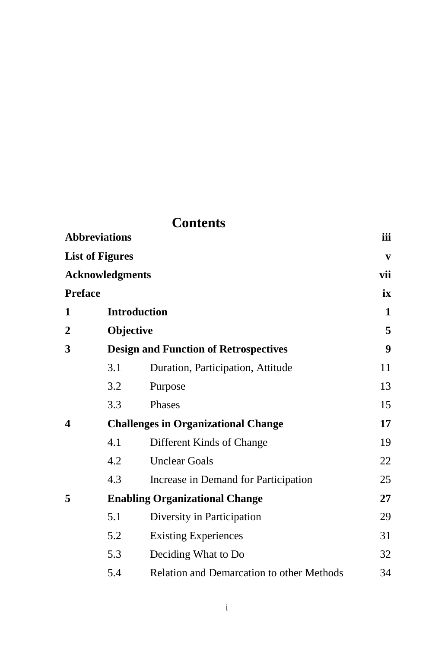| <b>Contents</b>                                                                            |                                            |                                                  |    |  |  |                   |                                              |  |  |  |  |
|--------------------------------------------------------------------------------------------|--------------------------------------------|--------------------------------------------------|----|--|--|-------------------|----------------------------------------------|--|--|--|--|
| <b>Abbreviations</b><br><b>List of Figures</b><br><b>Acknowledgments</b><br><b>Preface</b> |                                            |                                                  |    |  |  |                   |                                              |  |  |  |  |
|                                                                                            |                                            |                                                  |    |  |  | Introduction<br>1 |                                              |  |  |  |  |
|                                                                                            |                                            |                                                  |    |  |  | $\overline{2}$    | Objective                                    |  |  |  |  |
|                                                                                            |                                            |                                                  |    |  |  | 3                 | <b>Design and Function of Retrospectives</b> |  |  |  |  |
|                                                                                            | 3.1                                        | Duration, Participation, Attitude                | 11 |  |  |                   |                                              |  |  |  |  |
|                                                                                            | 3.2                                        | Purpose                                          | 13 |  |  |                   |                                              |  |  |  |  |
|                                                                                            | 3.3                                        | Phases                                           | 15 |  |  |                   |                                              |  |  |  |  |
| 4                                                                                          | <b>Challenges in Organizational Change</b> |                                                  |    |  |  |                   |                                              |  |  |  |  |
|                                                                                            | 4.1                                        | Different Kinds of Change                        | 19 |  |  |                   |                                              |  |  |  |  |
|                                                                                            | 4.2                                        | <b>Unclear Goals</b>                             | 22 |  |  |                   |                                              |  |  |  |  |
|                                                                                            | 4.3                                        | Increase in Demand for Participation             | 25 |  |  |                   |                                              |  |  |  |  |
| 5                                                                                          | <b>Enabling Organizational Change</b>      |                                                  |    |  |  |                   |                                              |  |  |  |  |
|                                                                                            | 5.1                                        | Diversity in Participation                       | 29 |  |  |                   |                                              |  |  |  |  |
|                                                                                            | 5.2                                        | <b>Existing Experiences</b>                      | 31 |  |  |                   |                                              |  |  |  |  |
|                                                                                            | 5.3                                        | Deciding What to Do                              | 32 |  |  |                   |                                              |  |  |  |  |
|                                                                                            | 5.4                                        | <b>Relation and Demarcation to other Methods</b> | 34 |  |  |                   |                                              |  |  |  |  |